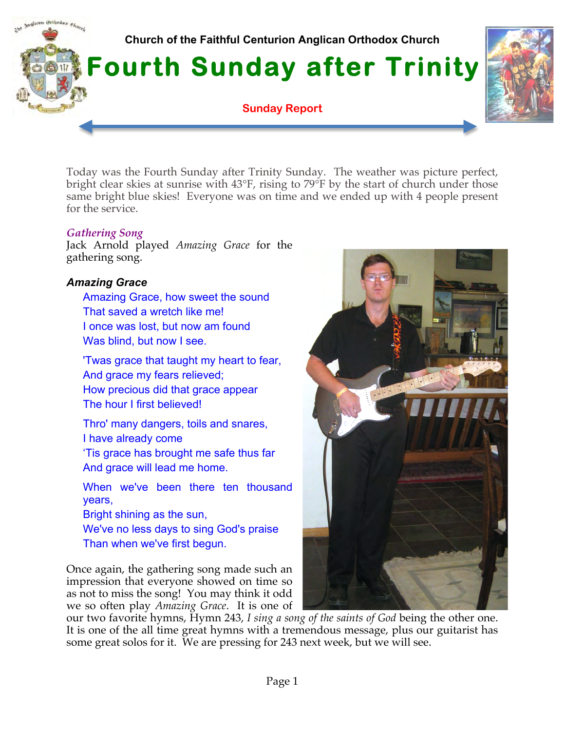

**Fourth Sunday after Trinity** 

**Sunday Report**



Today was the Fourth Sunday after Trinity Sunday. The weather was picture perfect, bright clear skies at sunrise with 43°F, rising to 79°F by the start of church under those same bright blue skies! Everyone was on time and we ended up with 4 people present for the service.

## *Gathering Song*

malican Orthodox Church

Jack Arnold played *Amazing Grace* for the gathering song.

## *Amazing Grace*

Amazing Grace, how sweet the sound That saved a wretch like me! I once was lost, but now am found Was blind, but now I see.

'Twas grace that taught my heart to fear, And grace my fears relieved; How precious did that grace appear The hour I first believed!

Thro' many dangers, toils and snares, I have already come

'Tis grace has brought me safe thus far And grace will lead me home.

When we've been there ten thousand years,

Bright shining as the sun,

We've no less days to sing God's praise Than when we've first begun.

Once again, the gathering song made such an impression that everyone showed on time so as not to miss the song! You may think it odd we so often play *Amazing Grace*. It is one of



our two favorite hymns, Hymn 243, *I sing a song of the saints of God* being the other one. It is one of the all time great hymns with a tremendous message, plus our guitarist has some great solos for it. We are pressing for 243 next week, but we will see.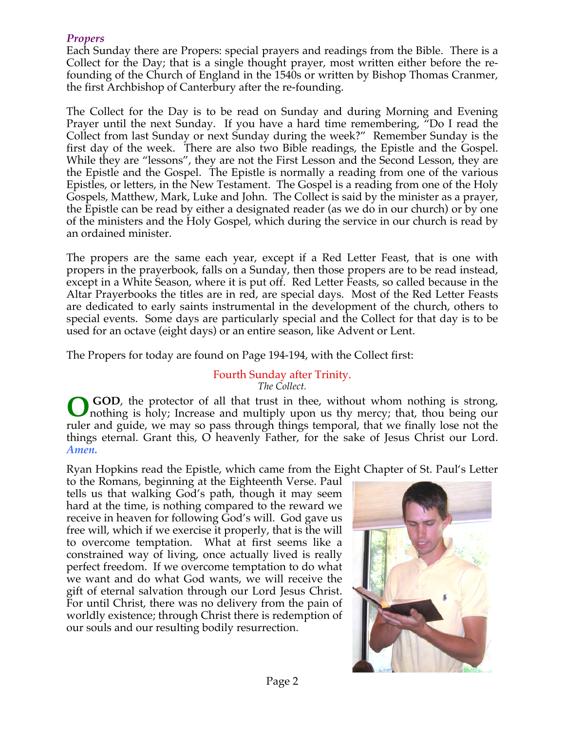## *Propers*

Each Sunday there are Propers: special prayers and readings from the Bible. There is a Collect for the Day; that is a single thought prayer, most written either before the refounding of the Church of England in the 1540s or written by Bishop Thomas Cranmer, the first Archbishop of Canterbury after the re-founding.

The Collect for the Day is to be read on Sunday and during Morning and Evening Prayer until the next Sunday. If you have a hard time remembering, "Do I read the Collect from last Sunday or next Sunday during the week?" Remember Sunday is the first day of the week. There are also two Bible readings, the Epistle and the Gospel. While they are "lessons", they are not the First Lesson and the Second Lesson, they are the Epistle and the Gospel. The Epistle is normally a reading from one of the various Epistles, or letters, in the New Testament. The Gospel is a reading from one of the Holy Gospels, Matthew, Mark, Luke and John. The Collect is said by the minister as a prayer, the Epistle can be read by either a designated reader (as we do in our church) or by one of the ministers and the Holy Gospel, which during the service in our church is read by an ordained minister.

The propers are the same each year, except if a Red Letter Feast, that is one with propers in the prayerbook, falls on a Sunday, then those propers are to be read instead, except in a White Season, where it is put off. Red Letter Feasts, so called because in the Altar Prayerbooks the titles are in red, are special days. Most of the Red Letter Feasts are dedicated to early saints instrumental in the development of the church, others to special events. Some days are particularly special and the Collect for that day is to be used for an octave (eight days) or an entire season, like Advent or Lent.

The Propers for today are found on Page 194-194, with the Collect first:

#### Fourth Sunday after Trinity. *The Collect.*

**GOD**, the protector of all that trust in thee, without whom nothing is strong, nothing is holy; Increase and multiply upon us thy mercy; that, thou being our ruler and guide, we may so pass through things temporal, that we finally lose not the things eternal. Grant this, O heavenly Father, for the sake of Jesus Christ our Lord. *Amen.* **O**

Ryan Hopkins read the Epistle, which came from the Eight Chapter of St. Paul's Letter

to the Romans, beginning at the Eighteenth Verse. Paul tells us that walking God's path, though it may seem hard at the time, is nothing compared to the reward we receive in heaven for following God's will. God gave us free will, which if we exercise it properly, that is the will to overcome temptation. What at first seems like a constrained way of living, once actually lived is really perfect freedom. If we overcome temptation to do what we want and do what God wants, we will receive the gift of eternal salvation through our Lord Jesus Christ. For until Christ, there was no delivery from the pain of worldly existence; through Christ there is redemption of our souls and our resulting bodily resurrection.

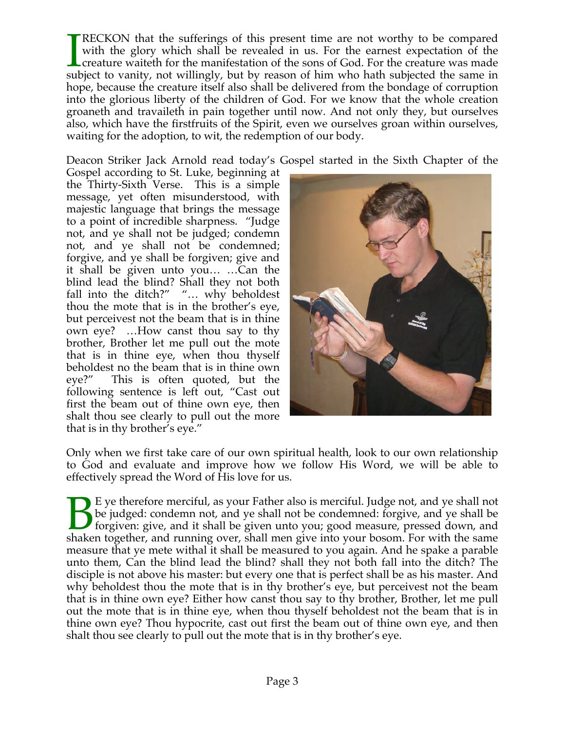RECKON that the sufferings of this present time are not worthy to be compared with the glory which shall be revealed in us. For the earnest expectation of the creature waiteth for the manifestation of the sons of God. For the creature was made **SECKON** that the sufferings of this present time are not worthy to be compared with the glory which shall be revealed in us. For the earnest expectation of the creature waiteth for the manifestation of the sons of God. Fo hope, because the creature itself also shall be delivered from the bondage of corruption into the glorious liberty of the children of God. For we know that the whole creation groaneth and travaileth in pain together until now. And not only they, but ourselves also, which have the firstfruits of the Spirit, even we ourselves groan within ourselves, waiting for the adoption, to wit, the redemption of our body.

Deacon Striker Jack Arnold read today's Gospel started in the Sixth Chapter of the

Gospel according to St. Luke, beginning at the Thirty-Sixth Verse. This is a simple message, yet often misunderstood, with majestic language that brings the message to a point of incredible sharpness. "Judge not, and ye shall not be judged; condemn not, and ye shall not be condemned; forgive, and ye shall be forgiven; give and it shall be given unto you… …Can the blind lead the blind? Shall they not both fall into the ditch?" "… why beholdest thou the mote that is in the brother's eye, but perceivest not the beam that is in thine own eye? …How canst thou say to thy brother, Brother let me pull out the mote that is in thine eye, when thou thyself beholdest no the beam that is in thine own eye?" This is often quoted, but the following sentence is left out, "Cast out first the beam out of thine own eye, then shalt thou see clearly to pull out the more that is in thy brother's eye."



Only when we first take care of our own spiritual health, look to our own relationship to God and evaluate and improve how we follow His Word, we will be able to effectively spread the Word of His love for us.

E ye therefore merciful, as your Father also is merciful. Judge not, and ye shall not be judged: condemn not, and ye shall not be condemned: forgive, and ye shall be forgiven: give, and it shall be given unto you; good measure, pressed down, and E ye therefore merciful, as your Father also is merciful. Judge not, and ye shall not be judged: condemn not, and ye shall not be condemned: forgive, and ye shall be forgiven: give, and it shall be given unto you; good mea measure that ye mete withal it shall be measured to you again. And he spake a parable unto them, Can the blind lead the blind? shall they not both fall into the ditch? The disciple is not above his master: but every one that is perfect shall be as his master. And why beholdest thou the mote that is in thy brother's eye, but perceivest not the beam that is in thine own eye? Either how canst thou say to thy brother, Brother, let me pull out the mote that is in thine eye, when thou thyself beholdest not the beam that is in thine own eye? Thou hypocrite, cast out first the beam out of thine own eye, and then shalt thou see clearly to pull out the mote that is in thy brother's eye.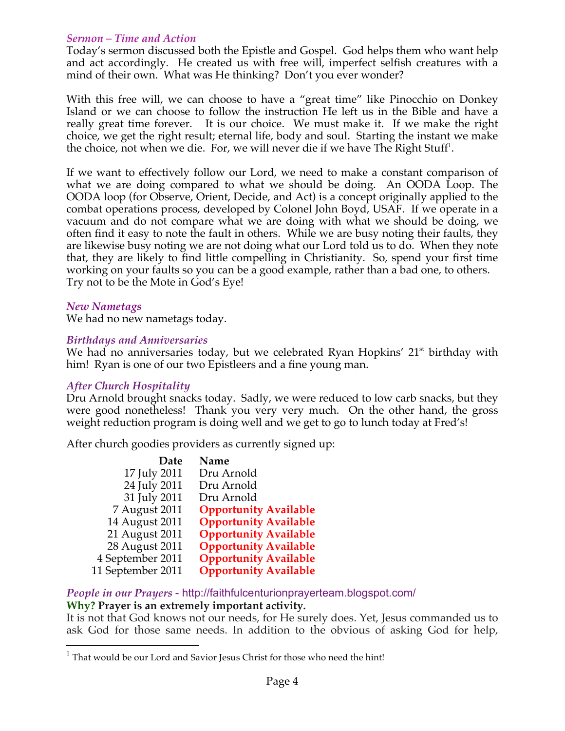#### *Sermon – Time and Action*

Today's sermon discussed both the Epistle and Gospel. God helps them who want help and act accordingly. He created us with free will, imperfect selfish creatures with a mind of their own. What was He thinking? Don't you ever wonder?

With this free will, we can choose to have a "great time" like Pinocchio on Donkey Island or we can choose to follow the instruction He left us in the Bible and have a really great time forever. It is our choice. We must make it. If we make the right choice, we get the right result; eternal life, body and soul. Starting the instant we make the choice, not when we die. For, we will never die if we have The Right Stuff<sup>1</sup>.

If we want to effectively follow our Lord, we need to make a constant comparison of what we are doing compared to what we should be doing. An OODA Loop. The OODA loop (for Observe, Orient, Decide, and Act) is a concept originally applied to the combat operations process, developed by Colonel John Boyd, USAF. If we operate in a vacuum and do not compare what we are doing with what we should be doing, we often find it easy to note the fault in others. While we are busy noting their faults, they are likewise busy noting we are not doing what our Lord told us to do. When they note that, they are likely to find little compelling in Christianity. So, spend your first time working on your faults so you can be a good example, rather than a bad one, to others. Try not to be the Mote in God's Eye!

## *New Nametags*

We had no new nametags today.

## *Birthdays and Anniversaries*

We had no anniversaries today, but we celebrated Ryan Hopkins' 21<sup>st</sup> birthday with him! Ryan is one of our two Epistleers and a fine young man.

#### *After Church Hospitality*

Dru Arnold brought snacks today. Sadly, we were reduced to low carb snacks, but they were good nonetheless! Thank you very very much. On the other hand, the gross weight reduction program is doing well and we get to go to lunch today at Fred's!

After church goodies providers as currently signed up:

| Date              | Name                         |
|-------------------|------------------------------|
| 17 July 2011      | Dru Arnold                   |
| 24 July 2011      | Dru Arnold                   |
| 31 July 2011      | Dru Arnold                   |
| 7 August 2011     | <b>Opportunity Available</b> |
| 14 August 2011    | <b>Opportunity Available</b> |
| 21 August 2011    | <b>Opportunity Available</b> |
| 28 August 2011    | <b>Opportunity Available</b> |
| 4 September 2011  | <b>Opportunity Available</b> |
| 11 September 2011 | <b>Opportunity Available</b> |
|                   |                              |

*People in our Prayers* - http://faithfulcenturionprayerteam.blogspot.com/

#### **Why? Prayer is an extremely important activity.**

It is not that God knows not our needs, for He surely does. Yet, Jesus commanded us to ask God for those same needs. In addition to the obvious of asking God for help,

 $1$  That would be our Lord and Savior Jesus Christ for those who need the hint!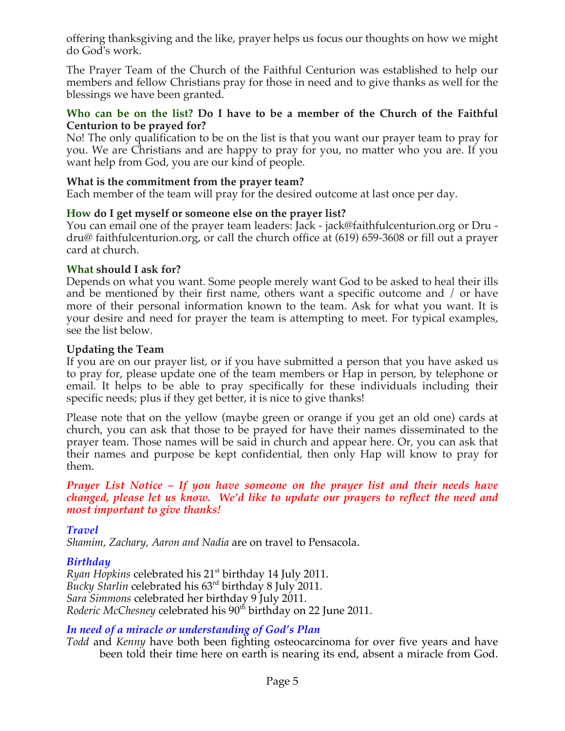offering thanksgiving and the like, prayer helps us focus our thoughts on how we might do God's work.

The Prayer Team of the Church of the Faithful Centurion was established to help our members and fellow Christians pray for those in need and to give thanks as well for the blessings we have been granted.

#### **Who can be on the list? Do I have to be a member of the Church of the Faithful Centurion to be prayed for?**

No! The only qualification to be on the list is that you want our prayer team to pray for you. We are Christians and are happy to pray for you, no matter who you are. If you want help from God, you are our kind of people.

## **What is the commitment from the prayer team?**

Each member of the team will pray for the desired outcome at last once per day.

## **How do I get myself or someone else on the prayer list?**

You can email one of the prayer team leaders: Jack - jack@faithfulcenturion.org or Dru dru@ faithfulcenturion.org, or call the church office at (619) 659-3608 or fill out a prayer card at church.

## **What should I ask for?**

Depends on what you want. Some people merely want God to be asked to heal their ills and be mentioned by their first name, others want a specific outcome and / or have more of their personal information known to the team. Ask for what you want. It is your desire and need for prayer the team is attempting to meet. For typical examples, see the list below.

## **Updating the Team**

If you are on our prayer list, or if you have submitted a person that you have asked us to pray for, please update one of the team members or Hap in person, by telephone or email. It helps to be able to pray specifically for these individuals including their specific needs; plus if they get better, it is nice to give thanks!

Please note that on the yellow (maybe green or orange if you get an old one) cards at church, you can ask that those to be prayed for have their names disseminated to the prayer team. Those names will be said in church and appear here. Or, you can ask that their names and purpose be kept confidential, then only Hap will know to pray for them.

#### *Prayer List Notice – If you have someone on the prayer list and their needs have changed, please let us know. We'd like to update our prayers to reflect the need and most important to give thanks!*

## *Travel*

*Shamim, Zachary, Aaron and Nadia* are on travel to Pensacola.

## *Birthday*

*Ryan Hopkins* celebrated his 21st birthday 14 July 2011. *Bucky Starlin* celebrated his 63rd birthday 8 July 2011. *Sara Simmons* celebrated her birthday 9 July 2011. *Roderic McChesney* celebrated his 90<sup>th</sup> birthday on 22 June 2011.

*In need of a miracle or understanding of God's Plan*

*Todd* and *Kenny* have both been fighting osteocarcinoma for over five years and have been told their time here on earth is nearing its end, absent a miracle from God.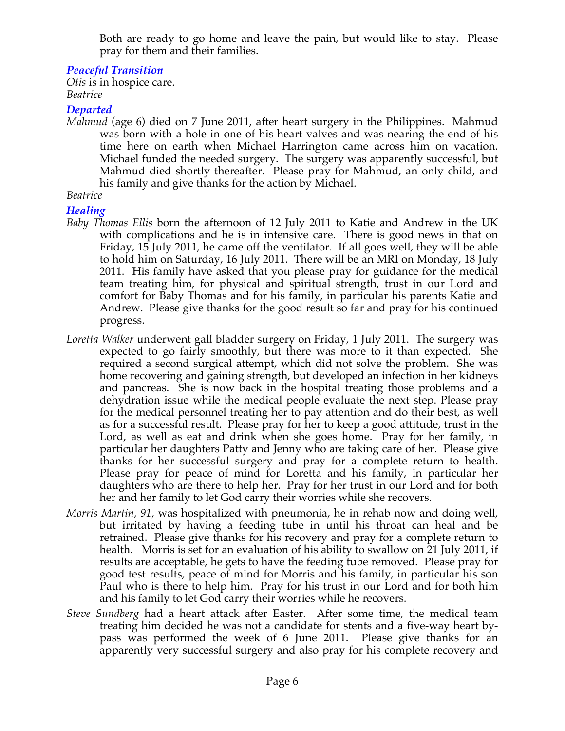Both are ready to go home and leave the pain, but would like to stay. Please pray for them and their families.

## *Peaceful Transition*

*Otis* is in hospice care. *Beatrice*

#### *Departed*

*Mahmud* (age 6) died on 7 June 2011, after heart surgery in the Philippines. Mahmud was born with a hole in one of his heart valves and was nearing the end of his time here on earth when Michael Harrington came across him on vacation. Michael funded the needed surgery. The surgery was apparently successful, but Mahmud died shortly thereafter. Please pray for Mahmud, an only child, and his family and give thanks for the action by Michael.

*Beatrice*

#### *Healing*

- *Baby Thomas Ellis* born the afternoon of 12 July 2011 to Katie and Andrew in the UK with complications and he is in intensive care. There is good news in that on Friday, 15 July 2011, he came off the ventilator. If all goes well, they will be able to hold him on Saturday, 16 July 2011. There will be an MRI on Monday, 18 July 2011. His family have asked that you please pray for guidance for the medical team treating him, for physical and spiritual strength, trust in our Lord and comfort for Baby Thomas and for his family, in particular his parents Katie and Andrew. Please give thanks for the good result so far and pray for his continued progress.
- *Loretta Walker* underwent gall bladder surgery on Friday, 1 July 2011. The surgery was expected to go fairly smoothly, but there was more to it than expected. She required a second surgical attempt, which did not solve the problem. She was home recovering and gaining strength, but developed an infection in her kidneys and pancreas. She is now back in the hospital treating those problems and a dehydration issue while the medical people evaluate the next step. Please pray for the medical personnel treating her to pay attention and do their best, as well as for a successful result. Please pray for her to keep a good attitude, trust in the Lord, as well as eat and drink when she goes home. Pray for her family, in particular her daughters Patty and Jenny who are taking care of her. Please give thanks for her successful surgery and pray for a complete return to health. Please pray for peace of mind for Loretta and his family, in particular her daughters who are there to help her. Pray for her trust in our Lord and for both her and her family to let God carry their worries while she recovers.
- *Morris Martin, 91,* was hospitalized with pneumonia, he in rehab now and doing well, but irritated by having a feeding tube in until his throat can heal and be retrained. Please give thanks for his recovery and pray for a complete return to health. Morris is set for an evaluation of his ability to swallow on 21 July 2011, if results are acceptable, he gets to have the feeding tube removed. Please pray for good test results, peace of mind for Morris and his family, in particular his son Paul who is there to help him. Pray for his trust in our Lord and for both him and his family to let God carry their worries while he recovers.
- *Steve Sundberg* had a heart attack after Easter. After some time, the medical team treating him decided he was not a candidate for stents and a five-way heart bypass was performed the week of 6 June 2011. Please give thanks for an apparently very successful surgery and also pray for his complete recovery and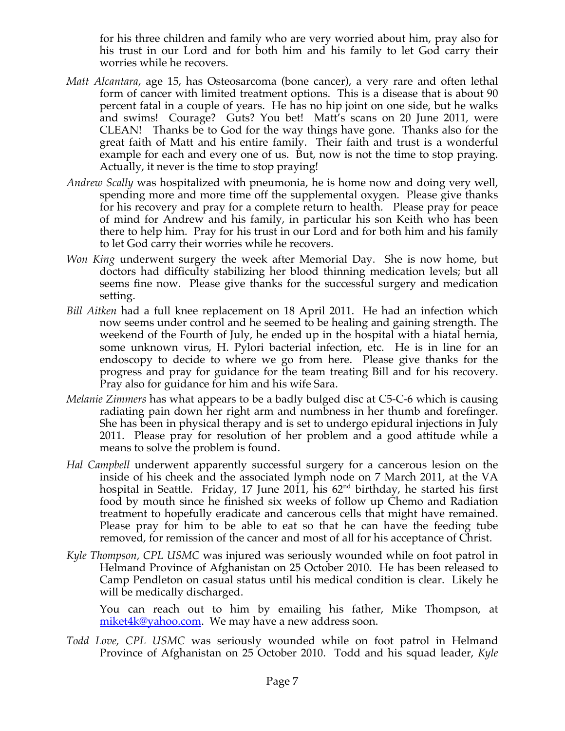for his three children and family who are very worried about him, pray also for his trust in our Lord and for both him and his family to let God carry their worries while he recovers.

- *Matt Alcantara*, age 15, has Osteosarcoma (bone cancer), a very rare and often lethal form of cancer with limited treatment options. This is a disease that is about 90 percent fatal in a couple of years. He has no hip joint on one side, but he walks and swims! Courage? Guts? You bet! Matt's scans on 20 June 2011, were CLEAN! Thanks be to God for the way things have gone. Thanks also for the great faith of Matt and his entire family. Their faith and trust is a wonderful example for each and every one of us. But, now is not the time to stop praying. Actually, it never is the time to stop praying!
- *Andrew Scally* was hospitalized with pneumonia, he is home now and doing very well, spending more and more time off the supplemental oxygen. Please give thanks for his recovery and pray for a complete return to health. Please pray for peace of mind for Andrew and his family, in particular his son Keith who has been there to help him. Pray for his trust in our Lord and for both him and his family to let God carry their worries while he recovers.
- *Won King* underwent surgery the week after Memorial Day. She is now home, but doctors had difficulty stabilizing her blood thinning medication levels; but all seems fine now. Please give thanks for the successful surgery and medication setting.
- *Bill Aitken* had a full knee replacement on 18 April 2011. He had an infection which now seems under control and he seemed to be healing and gaining strength. The weekend of the Fourth of July, he ended up in the hospital with a hiatal hernia, some unknown virus, H. Pylori bacterial infection, etc. He is in line for an endoscopy to decide to where we go from here. Please give thanks for the progress and pray for guidance for the team treating Bill and for his recovery. Pray also for guidance for him and his wife Sara.
- *Melanie Zimmers* has what appears to be a badly bulged disc at C5-C-6 which is causing radiating pain down her right arm and numbness in her thumb and forefinger. She has been in physical therapy and is set to undergo epidural injections in July 2011. Please pray for resolution of her problem and a good attitude while a means to solve the problem is found.
- *Hal Campbell* underwent apparently successful surgery for a cancerous lesion on the inside of his cheek and the associated lymph node on 7 March 2011, at the VA hospital in Seattle. Friday, 17 June 2011, his  $62<sup>nd</sup>$  birthday, he started his first food by mouth since he finished six weeks of follow up Chemo and Radiation treatment to hopefully eradicate and cancerous cells that might have remained. Please pray for him to be able to eat so that he can have the feeding tube removed, for remission of the cancer and most of all for his acceptance of Christ.
- *Kyle Thompson, CPL USMC* was injured was seriously wounded while on foot patrol in Helmand Province of Afghanistan on 25 October 2010. He has been released to Camp Pendleton on casual status until his medical condition is clear. Likely he will be medically discharged.

You can reach out to him by emailing his father, Mike Thompson, at miket4k@yahoo.com. We may have a new address soon.

*Todd Love, CPL USMC* was seriously wounded while on foot patrol in Helmand Province of Afghanistan on 25 October 2010. Todd and his squad leader, *Kyle*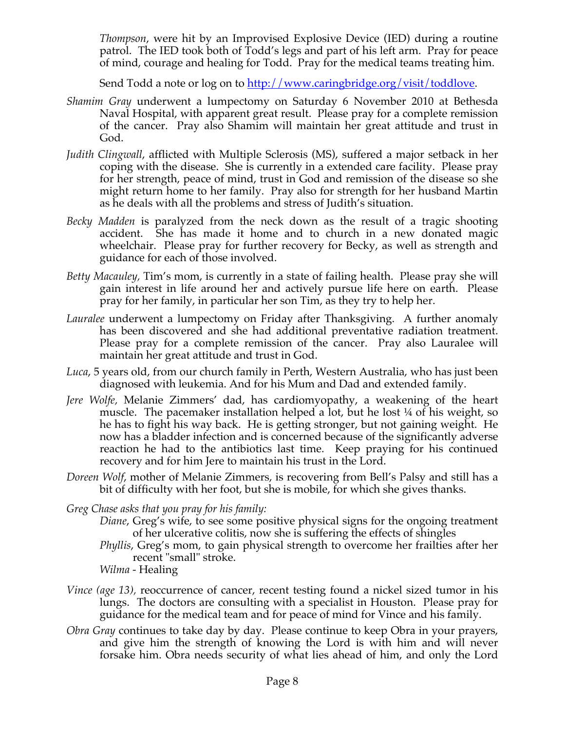*Thompson*, were hit by an Improvised Explosive Device (IED) during a routine patrol. The IED took both of Todd's legs and part of his left arm. Pray for peace of mind, courage and healing for Todd. Pray for the medical teams treating him.

Send Todd a note or log on to http://www.caringbridge.org/visit/toddlove.

- *Shamim Gray* underwent a lumpectomy on Saturday 6 November 2010 at Bethesda Naval Hospital, with apparent great result. Please pray for a complete remission of the cancer. Pray also Shamim will maintain her great attitude and trust in God.
- *Judith Clingwall*, afflicted with Multiple Sclerosis (MS), suffered a major setback in her coping with the disease. She is currently in a extended care facility. Please pray for her strength, peace of mind, trust in God and remission of the disease so she might return home to her family. Pray also for strength for her husband Martin as he deals with all the problems and stress of Judith's situation.
- *Becky Madden* is paralyzed from the neck down as the result of a tragic shooting accident. She has made it home and to church in a new donated magic wheelchair. Please pray for further recovery for Becky, as well as strength and guidance for each of those involved.
- *Betty Macauley,* Tim's mom, is currently in a state of failing health. Please pray she will gain interest in life around her and actively pursue life here on earth. Please pray for her family, in particular her son Tim, as they try to help her.
- *Lauralee* underwent a lumpectomy on Friday after Thanksgiving. A further anomaly has been discovered and she had additional preventative radiation treatment. Please pray for a complete remission of the cancer. Pray also Lauralee will maintain her great attitude and trust in God.
- *Luca*, 5 years old, from our church family in Perth, Western Australia, who has just been diagnosed with leukemia. And for his Mum and Dad and extended family.
- *Jere Wolfe,* Melanie Zimmers' dad, has cardiomyopathy, a weakening of the heart muscle. The pacemaker installation helped a lot, but he lost ¼ of his weight, so he has to fight his way back. He is getting stronger, but not gaining weight. He now has a bladder infection and is concerned because of the significantly adverse reaction he had to the antibiotics last time. Keep praying for his continued recovery and for him Jere to maintain his trust in the Lord.
- *Doreen Wolf*, mother of Melanie Zimmers, is recovering from Bell's Palsy and still has a bit of difficulty with her foot, but she is mobile, for which she gives thanks.

*Greg Chase asks that you pray for his family:*

- *Diane*, Greg's wife, to see some positive physical signs for the ongoing treatment of her ulcerative colitis, now she is suffering the effects of shingles
- *Phyllis*, Greg's mom, to gain physical strength to overcome her frailties after her recent "small" stroke.

*Wilma* - Healing

- *Vince (age 13),* reoccurrence of cancer, recent testing found a nickel sized tumor in his lungs. The doctors are consulting with a specialist in Houston. Please pray for guidance for the medical team and for peace of mind for Vince and his family.
- *Obra Gray* continues to take day by day. Please continue to keep Obra in your prayers, and give him the strength of knowing the Lord is with him and will never forsake him. Obra needs security of what lies ahead of him, and only the Lord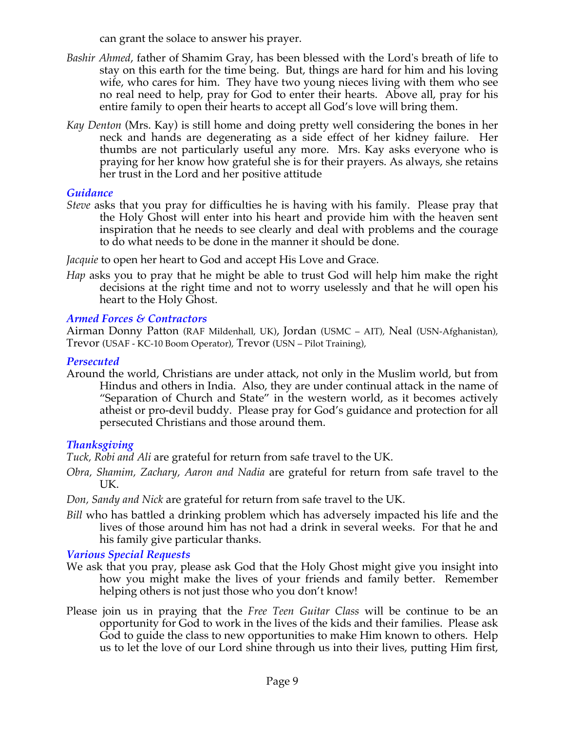can grant the solace to answer his prayer.

- *Bashir Ahmed*, father of Shamim Gray, has been blessed with the Lord's breath of life to stay on this earth for the time being. But, things are hard for him and his loving wife, who cares for him. They have two young nieces living with them who see no real need to help, pray for God to enter their hearts. Above all, pray for his entire family to open their hearts to accept all God's love will bring them.
- *Kay Denton* (Mrs. Kay) is still home and doing pretty well considering the bones in her neck and hands are degenerating as a side effect of her kidney failure. Her thumbs are not particularly useful any more. Mrs. Kay asks everyone who is praying for her know how grateful she is for their prayers. As always, she retains her trust in the Lord and her positive attitude.

## *Guidance*

*Steve* asks that you pray for difficulties he is having with his family. Please pray that the Holy Ghost will enter into his heart and provide him with the heaven sent inspiration that he needs to see clearly and deal with problems and the courage to do what needs to be done in the manner it should be done.

*Jacquie* to open her heart to God and accept His Love and Grace.

*Hap* asks you to pray that he might be able to trust God will help him make the right decisions at the right time and not to worry uselessly and that he will open his heart to the Holy Ghost.

# *Armed Forces & Contractors*

Airman Donny Patton (RAF Mildenhall, UK), Jordan (USMC – AIT), Neal (USN-Afghanistan), Trevor (USAF - KC-10 Boom Operator), Trevor (USN – Pilot Training),

# *Persecuted*

Around the world, Christians are under attack, not only in the Muslim world, but from Hindus and others in India. Also, they are under continual attack in the name of "Separation of Church and State" in the western world, as it becomes actively atheist or pro-devil buddy. Please pray for God's guidance and protection for all persecuted Christians and those around them.

# *Thanksgiving*

*Tuck, Robi and Ali* are grateful for return from safe travel to the UK.

*Obra, Shamim, Zachary, Aaron and Nadia* are grateful for return from safe travel to the UK.

*Don, Sandy and Nick* are grateful for return from safe travel to the UK.

*Bill* who has battled a drinking problem which has adversely impacted his life and the lives of those around him has not had a drink in several weeks. For that he and his family give particular thanks.

# *Various Special Requests*

- We ask that you pray, please ask God that the Holy Ghost might give you insight into how you might make the lives of your friends and family better. Remember helping others is not just those who you don't know!
- Please join us in praying that the *Free Teen Guitar Class* will be continue to be an opportunity for God to work in the lives of the kids and their families. Please ask God to guide the class to new opportunities to make Him known to others. Help us to let the love of our Lord shine through us into their lives, putting Him first,